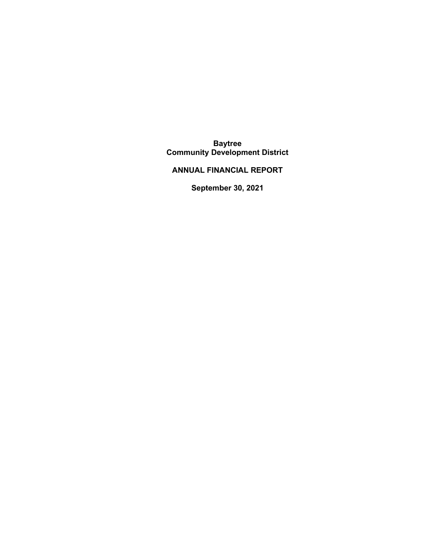**Baytree Community Development District**

# **ANNUAL FINANCIAL REPORT**

**September 30, 2021**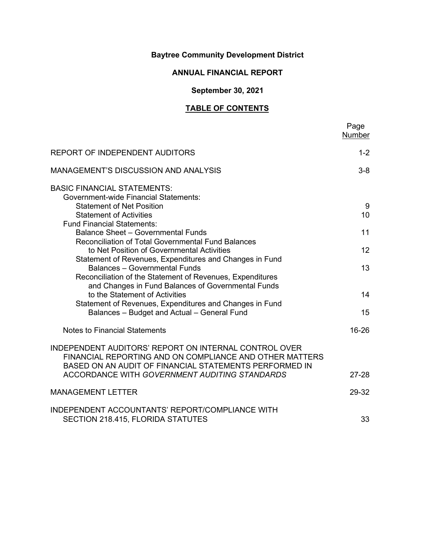# **Baytree Community Development District**

# **ANNUAL FINANCIAL REPORT**

# **September 30, 2021**

## **TABLE OF CONTENTS**

|                                                                                                                                                                                                              | Page<br>Number |
|--------------------------------------------------------------------------------------------------------------------------------------------------------------------------------------------------------------|----------------|
| <b>REPORT OF INDEPENDENT AUDITORS</b>                                                                                                                                                                        | $1 - 2$        |
| <b>MANAGEMENT'S DISCUSSION AND ANALYSIS</b>                                                                                                                                                                  | $3 - 8$        |
| <b>BASIC FINANCIAL STATEMENTS:</b><br><b>Government-wide Financial Statements:</b>                                                                                                                           |                |
| <b>Statement of Net Position</b><br><b>Statement of Activities</b>                                                                                                                                           | 9<br>10        |
| <b>Fund Financial Statements:</b><br><b>Balance Sheet - Governmental Funds</b>                                                                                                                               | 11             |
| <b>Reconciliation of Total Governmental Fund Balances</b><br>to Net Position of Governmental Activities                                                                                                      | 12             |
| Statement of Revenues, Expenditures and Changes in Fund<br><b>Balances - Governmental Funds</b>                                                                                                              | 13             |
| Reconciliation of the Statement of Revenues, Expenditures<br>and Changes in Fund Balances of Governmental Funds<br>to the Statement of Activities<br>Statement of Revenues, Expenditures and Changes in Fund | 14             |
| Balances - Budget and Actual - General Fund                                                                                                                                                                  | 15             |
| <b>Notes to Financial Statements</b>                                                                                                                                                                         | 16-26          |
| <b>INDEPENDENT AUDITORS' REPORT ON INTERNAL CONTROL OVER</b><br>FINANCIAL REPORTING AND ON COMPLIANCE AND OTHER MATTERS<br>BASED ON AN AUDIT OF FINANCIAL STATEMENTS PERFORMED IN                            |                |
| <b>ACCORDANCE WITH GOVERNMENT AUDITING STANDARDS</b>                                                                                                                                                         | $27 - 28$      |
| <b>MANAGEMENT LETTER</b>                                                                                                                                                                                     | 29-32          |
| INDEPENDENT ACCOUNTANTS' REPORT/COMPLIANCE WITH<br><b>SECTION 218.415, FLORIDA STATUTES</b>                                                                                                                  | 33             |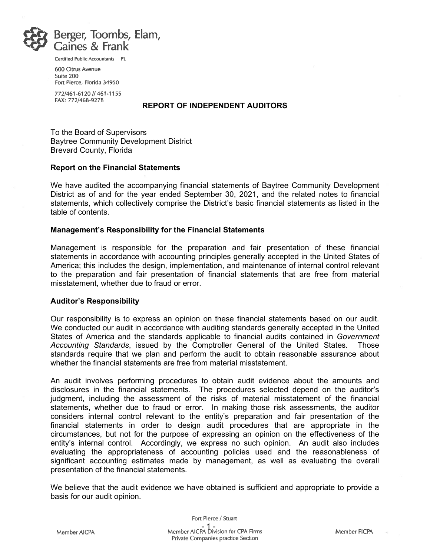

Certified Public Accountants PL

600 Citrus Avenue Suite 200 Fort Pierce, Florida 34950

772/461-6120 // 461-1155 FAX: 772/468-9278

#### **REPORT OF INDEPENDENT AUDITORS**

To the Board of Supervisors Baytree Community Development District Brevard County, Florida

#### **Report on the Financial Statements**

We have audited the accompanying financial statements of Baytree Community Development District as of and for the year ended September 30, 2021, and the related notes to financial statements, which collectively comprise the District's basic financial statements as listed in the table of contents.

#### **Management's Responsibility for the Financial Statements**

Management is responsible for the preparation and fair presentation of these financial statements in accordance with accounting principles generally accepted in the United States of America; this includes the design, implementation, and maintenance of internal control relevant to the preparation and fair presentation of financial statements that are free from material misstatement, whether due to fraud or error.

#### **Auditor's Responsibility**

Our responsibility is to express an opinion on these financial statements based on our audit. We conducted our audit in accordance with auditing standards generally accepted in the United States of America and the standards applicable to financial audits contained in *Government Accounting Standards*, issued by the Comptroller General of the United States. Those standards require that we plan and perform the audit to obtain reasonable assurance about whether the financial statements are free from material misstatement.

An audit involves performing procedures to obtain audit evidence about the amounts and disclosures in the financial statements. The procedures selected depend on the auditor's judgment, including the assessment of the risks of material misstatement of the financial statements, whether due to fraud or error. In making those risk assessments, the auditor considers internal control relevant to the entity's preparation and fair presentation of the financial statements in order to design audit procedures that are appropriate in the circumstances, but not for the purpose of expressing an opinion on the effectiveness of the entity's internal control. Accordingly, we express no such opinion. An audit also includes evaluating the appropriateness of accounting policies used and the reasonableness of significant accounting estimates made by management, as well as evaluating the overall presentation of the financial statements.

We believe that the audit evidence we have obtained is sufficient and appropriate to provide a basis for our audit opinion.

Fort Pierce / Stuart Member AICPA Division for CPA Firms Private Companies practice Section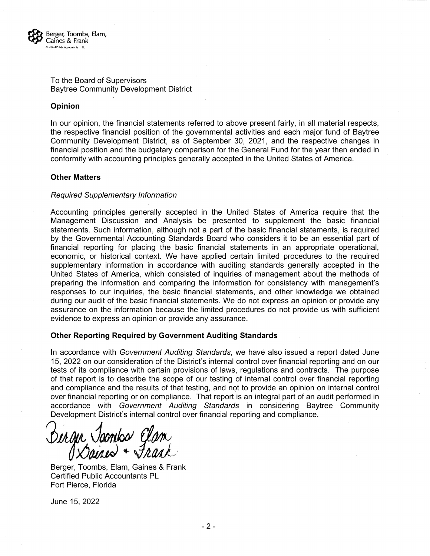

#### **Opinion**

In our opinion, the financial statements referred to above present fairly, in all material respects, the respective financial position of the governmental activities and each major fund of Baytree Community Development District, as of September 30, 2021, and the respective changes in financial position and the budgetary comparison for the General Fund for the year then ended in conformity with accounting principles generally accepted in the United States of America.

#### **Other Matters**

#### *Required Supplementary Information*

Accounting principles generally accepted in the United States of America require that the Management Discussion and Analysis be presented to supplement the basic financial statements. Such information, although not a part of the basic financial statements, is required by the Governmental Accounting Standards Board who considers it to be an essential part of financial reporting for placing the basic financial statements in an appropriate operational, economic, or historical context. We have applied certain limited procedures to the required supplementary information in accordance with auditing standards generally accepted in the United States of America, which consisted of inquiries of management about the methods of preparing the information and comparing the information for consistency with management's responses to our inquiries, the basic financial statements, and other knowledge we obtained during our audit of the basic financial statements. We do not express an opinion or provide any assurance on the information because the limited procedures do not provide us with sufficient evidence to express an opinion or provide any assurance.

#### **Other Reporting Required by Government Auditing Standards**

In accordance with *Government Auditing Standards*, we have also issued a report dated June 15, 2022 on our consideration of the District's internal control over financial reporting and on our tests of its compliance with certain provisions of laws, regulations and contracts. The purpose of that report is to describe the scope of our testing of internal control over financial reporting and compliance and the results of that testing, and not to provide an opinion on internal control over financial reporting or on compliance. That report is an integral part of an audit performed in accordance with *Government Auditing Standards* in considering Baytree Community Development District's internal control over financial reporting and compliance.

Durgin Joonlos Clam<br>Isaines + Frank

Berger, Toombs, Elam, Gaines & Frank Certified Public Accountants PL Fort Pierce, Florida

June 15, 2022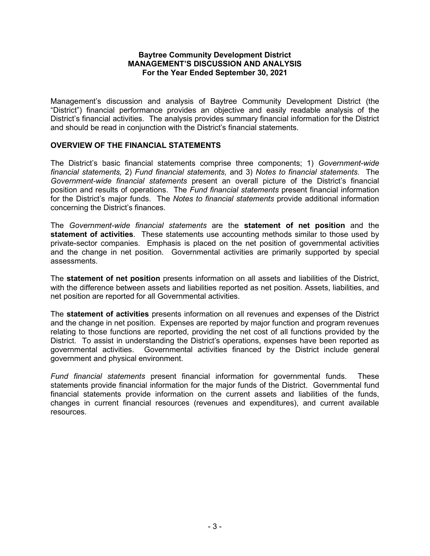Management's discussion and analysis of Baytree Community Development District (the "District") financial performance provides an objective and easily readable analysis of the District's financial activities. The analysis provides summary financial information for the District and should be read in conjunction with the District's financial statements.

## **OVERVIEW OF THE FINANCIAL STATEMENTS**

The District's basic financial statements comprise three components; 1) *Government-wide financial statements,* 2) *Fund financial statements,* and 3) *Notes to financial statements.* The *Government-wide financial statements* present an overall picture of the District's financial position and results of operations. The *Fund financial statements* present financial information for the District's major funds. The *Notes to financial statements* provide additional information concerning the District's finances.

The *Government-wide financial statements* are the **statement of net position** and the **statement of activities**. These statements use accounting methods similar to those used by private-sector companies. Emphasis is placed on the net position of governmental activities and the change in net position. Governmental activities are primarily supported by special assessments.

The **statement of net position** presents information on all assets and liabilities of the District, with the difference between assets and liabilities reported as net position. Assets, liabilities, and net position are reported for all Governmental activities.

The **statement of activities** presents information on all revenues and expenses of the District and the change in net position. Expenses are reported by major function and program revenues relating to those functions are reported, providing the net cost of all functions provided by the District. To assist in understanding the District's operations, expenses have been reported as governmental activities. Governmental activities financed by the District include general government and physical environment.

*Fund financial statements* present financial information for governmental funds. These statements provide financial information for the major funds of the District. Governmental fund financial statements provide information on the current assets and liabilities of the funds, changes in current financial resources (revenues and expenditures), and current available resources.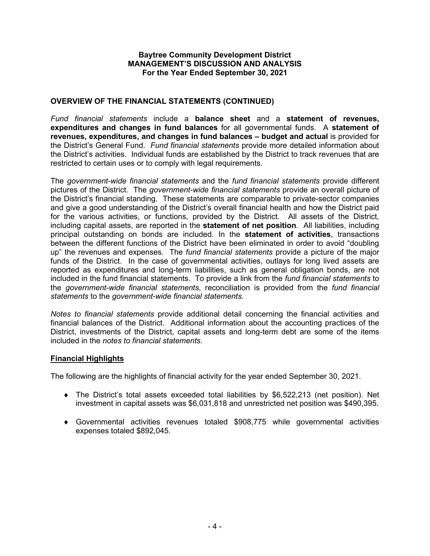## **OVERVIEW OF THE FINANCIAL STATEMENTS (CONTINUED)**

*Fund financial statements* include a **balance sheet** and a **statement of revenues, expenditures and changes in fund balances** for all governmental funds. A **statement of revenues, expenditures, and changes in fund balances – budget and actual** is provided for the District's General Fund. *Fund financial statements* provide more detailed information about the District's activities. Individual funds are established by the District to track revenues that are restricted to certain uses or to comply with legal requirements.

The *government-wide financial statements* and the *fund financial statements* provide different pictures of the District. The *government-wide financial statements* provide an overall picture of the District's financial standing. These statements are comparable to private-sector companies and give a good understanding of the District's overall financial health and how the District paid for the various activities, or functions, provided by the District. All assets of the District, including capital assets, are reported in the **statement of net position**. All liabilities, including principal outstanding on bonds are included. In the **statement of activities**, transactions between the different functions of the District have been eliminated in order to avoid "doubling up" the revenues and expenses. The *fund financial statements* provide a picture of the major funds of the District. In the case of governmental activities, outlays for long lived assets are reported as expenditures and long-term liabilities, such as general obligation bonds, are not included in the fund financial statements. To provide a link from the *fund financial statements* to the *government-wide financial statements*, reconciliation is provided from the *fund financial statements* to the *government-wide financial statements.*

*Notes to financial statements* provide additional detail concerning the financial activities and financial balances of the District. Additional information about the accounting practices of the District, investments of the District, capital assets and long-term debt are some of the items included in the *notes to financial statements.*

## **Financial Highlights**

The following are the highlights of financial activity for the year ended September 30, 2021.

- ♦ The District's total assets exceeded total liabilities by \$6,522,213 (net position). Net investment in capital assets was \$6,031,818 and unrestricted net position was \$490,395.
- ♦ Governmental activities revenues totaled \$908,775 while governmental activities expenses totaled \$892,045.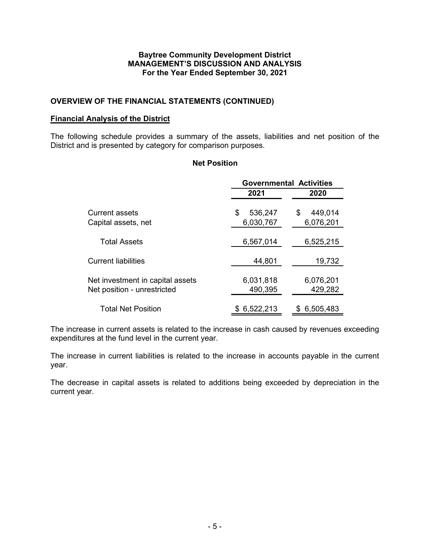## **OVERVIEW OF THE FINANCIAL STATEMENTS (CONTINUED)**

## **Financial Analysis of the District**

The following schedule provides a summary of the assets, liabilities and net position of the District and is presented by category for comparison purposes.

#### **Net Position**

|                                                                 | <b>Governmental Activities</b> |                            |  |  |
|-----------------------------------------------------------------|--------------------------------|----------------------------|--|--|
|                                                                 | 2021                           | 2020                       |  |  |
| Current assets<br>Capital assets, net                           | \$<br>536,247<br>6,030,767     | 449,014<br>\$<br>6,076,201 |  |  |
| <b>Total Assets</b>                                             | 6,567,014                      | 6,525,215                  |  |  |
| <b>Current liabilities</b>                                      | 44,801                         | 19,732                     |  |  |
| Net investment in capital assets<br>Net position - unrestricted | 6,031,818<br>490,395           | 6,076,201<br>429,282       |  |  |
| <b>Total Net Position</b>                                       | \$6,522,213                    | 6,505,483                  |  |  |

The increase in current assets is related to the increase in cash caused by revenues exceeding expenditures at the fund level in the current year.

The increase in current liabilities is related to the increase in accounts payable in the current year.

The decrease in capital assets is related to additions being exceeded by depreciation in the current year.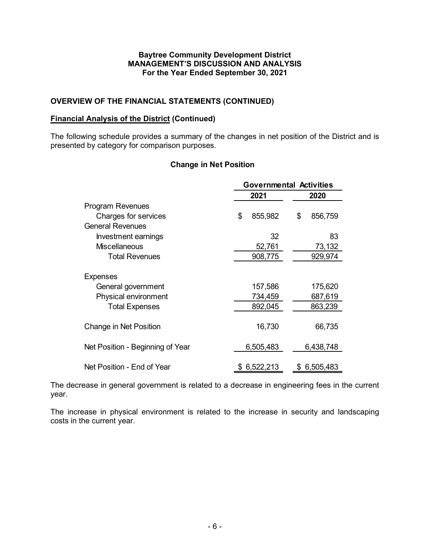## **OVERVIEW OF THE FINANCIAL STATEMENTS (CONTINUED)**

## **Financial Analysis of the District (Continued)**

The following schedule provides a summary of the changes in net position of the District and is presented by category for comparison purposes.

### **Change in Net Position**

|                                  | <b>Governmental Activities</b> |             |         |             |  |
|----------------------------------|--------------------------------|-------------|---------|-------------|--|
|                                  |                                | 2021        | 2020    |             |  |
| <b>Program Revenues</b>          |                                |             |         |             |  |
| Charges for services             | \$                             | 855,982     | \$      | 856,759     |  |
| <b>General Revenues</b>          |                                |             |         |             |  |
| Investment earnings              |                                | 32          |         | 83          |  |
| <b>Miscellaneous</b>             |                                | 52,761      |         | 73,132      |  |
| <b>Total Revenues</b>            |                                | 908,775     | 929,974 |             |  |
| <b>Expenses</b>                  |                                |             |         |             |  |
| General government               |                                | 157,586     |         | 175,620     |  |
| Physical environment             |                                | 734,459     |         | 687,619     |  |
| <b>Total Expenses</b>            |                                | 892,045     | 863,239 |             |  |
| Change in Net Position           |                                | 16,730      |         | 66,735      |  |
| Net Position - Beginning of Year |                                | 6,505,483   |         | 6,438,748   |  |
| Net Position - End of Year       |                                | \$6,522,213 |         | \$6,505,483 |  |

The decrease in general government is related to a decrease in engineering fees in the current year.

The increase in physical environment is related to the increase in security and landscaping costs in the current year.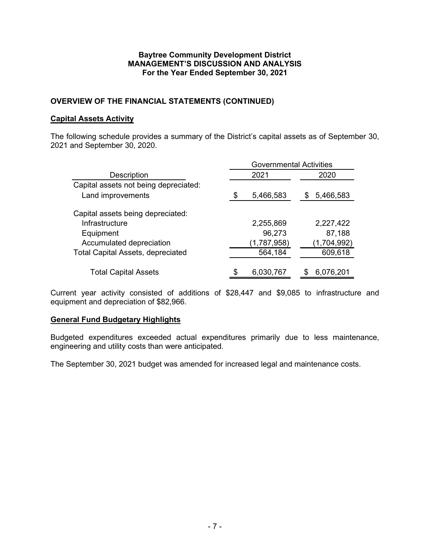## **OVERVIEW OF THE FINANCIAL STATEMENTS (CONTINUED)**

## **Capital Assets Activity**

The following schedule provides a summary of the District's capital assets as of September 30, 2021 and September 30, 2020.

|                                          | Governmental Activities |             |             |  |  |
|------------------------------------------|-------------------------|-------------|-------------|--|--|
| Description                              |                         | 2021        | 2020        |  |  |
| Capital assets not being depreciated:    |                         |             |             |  |  |
| Land improvements                        |                         | 5,466,583   | 5,466,583   |  |  |
| Capital assets being depreciated:        |                         |             |             |  |  |
| Infrastructure                           |                         | 2,255,869   | 2,227,422   |  |  |
| Equipment                                |                         | 96,273      | 87,188      |  |  |
| Accumulated depreciation                 |                         | (1,787,958) | (1,704,992) |  |  |
| <b>Total Capital Assets, depreciated</b> |                         | 564,184     | 609,618     |  |  |
| <b>Total Capital Assets</b>              |                         | 6,030,767   | 6,076,201   |  |  |

l, Current year activity consisted of additions of \$28,447 and \$9,085 to infrastructure and equipment and depreciation of \$82,966.

## **General Fund Budgetary Highlights**

Budgeted expenditures exceeded actual expenditures primarily due to less maintenance, engineering and utility costs than were anticipated.

The September 30, 2021 budget was amended for increased legal and maintenance costs.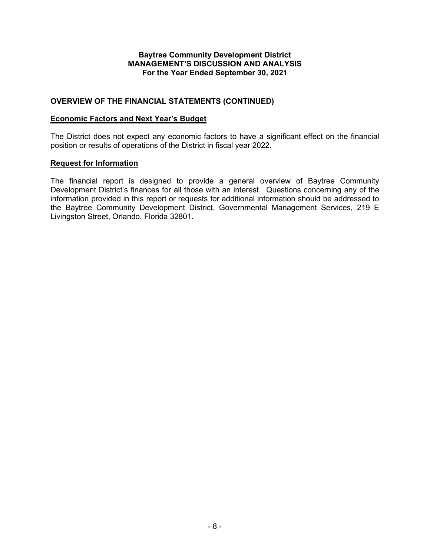## **OVERVIEW OF THE FINANCIAL STATEMENTS (CONTINUED)**

### **Economic Factors and Next Year's Budget**

The District does not expect any economic factors to have a significant effect on the financial position or results of operations of the District in fiscal year 2022.

#### **Request for Information**

The financial report is designed to provide a general overview of Baytree Community Development District's finances for all those with an interest. Questions concerning any of the information provided in this report or requests for additional information should be addressed to the Baytree Community Development District, Governmental Management Services, 219 E Livingston Street, Orlando, Florida 32801.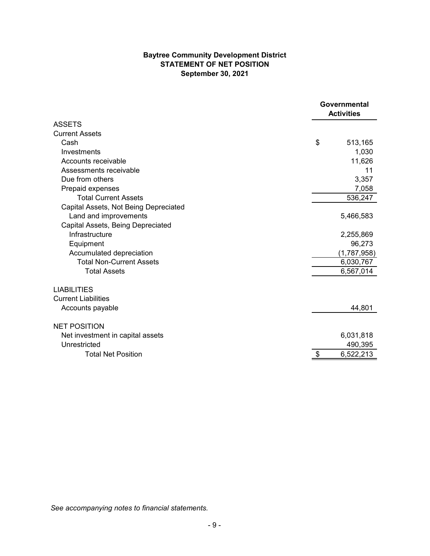## **Baytree Community Development District STATEMENT OF NET POSITION September 30, 2021**

|                                       | Governmental<br><b>Activities</b> |         |
|---------------------------------------|-----------------------------------|---------|
| <b>ASSETS</b>                         |                                   |         |
| <b>Current Assets</b>                 |                                   |         |
| Cash                                  | \$                                | 513,165 |
| Investments                           |                                   | 1,030   |
| Accounts receivable                   |                                   | 11,626  |
| Assessments receivable                |                                   | 11      |
| Due from others                       |                                   | 3,357   |
| Prepaid expenses                      |                                   | 7,058   |
| <b>Total Current Assets</b>           |                                   | 536,247 |
| Capital Assets, Not Being Depreciated |                                   |         |
| Land and improvements                 | 5,466,583                         |         |
| Capital Assets, Being Depreciated     |                                   |         |
| Infrastructure                        | 2,255,869                         |         |
| Equipment                             |                                   | 96,273  |
| Accumulated depreciation              | (1,787,958)                       |         |
| <b>Total Non-Current Assets</b>       | 6,030,767                         |         |
| <b>Total Assets</b>                   | 6,567,014                         |         |
| <b>LIABILITIES</b>                    |                                   |         |
| <b>Current Liabilities</b>            |                                   |         |
| Accounts payable                      |                                   | 44,801  |
| <b>NET POSITION</b>                   |                                   |         |
| Net investment in capital assets      | 6,031,818                         |         |
| Unrestricted                          |                                   | 490,395 |
| <b>Total Net Position</b>             | 6,522,213<br>\$                   |         |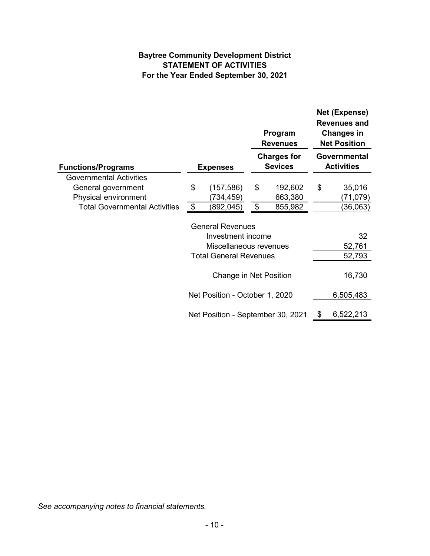# **Baytree Community Development District STATEMENT OF ACTIVITIES For the Year Ended September 30, 2021**

|                                                                              |               |                                   | Program<br><b>Revenues</b>           | Net (Expense)<br><b>Revenues and</b><br><b>Changes in</b><br><b>Net Position</b> |
|------------------------------------------------------------------------------|---------------|-----------------------------------|--------------------------------------|----------------------------------------------------------------------------------|
| <b>Functions/Programs</b>                                                    |               | <b>Expenses</b>                   | <b>Charges for</b><br><b>Sevices</b> | Governmental<br><b>Activities</b>                                                |
| <b>Governmental Activities</b><br>General government<br>Physical environment | \$            | (157, 586)<br>(734,459)           | \$<br>192,602<br>663,380             | \$<br>35,016<br>(71,079)                                                         |
| <b>Total Governmental Activities</b>                                         | $\frac{1}{2}$ | (892, 045)                        | \$<br>855,982                        | (36,063)                                                                         |
|                                                                              |               | <b>General Revenues</b>           |                                      |                                                                                  |
|                                                                              |               | Investment income                 |                                      | 32                                                                               |
|                                                                              |               | Miscellaneous revenues            |                                      | 52,761                                                                           |
|                                                                              |               | <b>Total General Revenues</b>     |                                      | 52,793                                                                           |
|                                                                              |               | Change in Net Position            |                                      | 16,730                                                                           |
|                                                                              |               | Net Position - October 1, 2020    |                                      | 6,505,483                                                                        |
|                                                                              |               | Net Position - September 30, 2021 |                                      | \$<br>6,522,213                                                                  |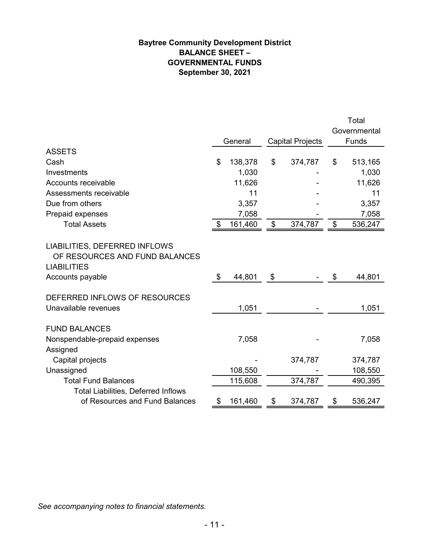# **Baytree Community Development District BALANCE SHEET – GOVERNMENTAL FUNDS September 30, 2021**

|                                                                                       |               |                         | Total         |
|---------------------------------------------------------------------------------------|---------------|-------------------------|---------------|
|                                                                                       |               |                         | Governmental  |
|                                                                                       | General       | <b>Capital Projects</b> | Funds         |
| <b>ASSETS</b>                                                                         |               |                         |               |
| Cash                                                                                  | \$<br>138,378 | \$<br>374,787           | \$<br>513,165 |
| Investments                                                                           | 1,030         |                         | 1,030         |
| Accounts receivable                                                                   | 11,626        |                         | 11,626        |
| Assessments receivable                                                                | 11            |                         | 11            |
| Due from others                                                                       | 3,357         |                         | 3,357         |
| Prepaid expenses                                                                      | 7,058         |                         | 7,058         |
| <b>Total Assets</b>                                                                   | \$<br>161,460 | \$<br>374,787           | \$<br>536,247 |
| LIABILITIES, DEFERRED INFLOWS<br>OF RESOURCES AND FUND BALANCES<br><b>LIABILITIES</b> |               |                         |               |
| Accounts payable                                                                      | \$<br>44,801  | \$                      | \$<br>44,801  |
| DEFERRED INFLOWS OF RESOURCES<br>Unavailable revenues                                 | 1,051         |                         | 1,051         |
| <b>FUND BALANCES</b>                                                                  |               |                         |               |
| Nonspendable-prepaid expenses<br>Assigned                                             | 7,058         |                         | 7,058         |
| Capital projects                                                                      |               | 374,787                 | 374,787       |
| Unassigned                                                                            | 108,550       |                         | 108,550       |
| <b>Total Fund Balances</b>                                                            | 115,608       | 374,787                 | 490,395       |
| <b>Total Liabilities, Deferred Inflows</b>                                            |               |                         |               |
| of Resources and Fund Balances                                                        | \$<br>161,460 | \$<br>374,787           | \$<br>536,247 |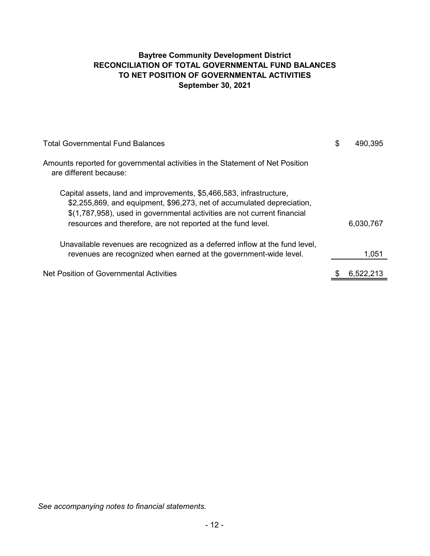# **Baytree Community Development District RECONCILIATION OF TOTAL GOVERNMENTAL FUND BALANCES TO NET POSITION OF GOVERNMENTAL ACTIVITIES September 30, 2021**

| <b>Total Governmental Fund Balances</b>                                                                                                                                                                                                                                                   | \$<br>490,395 |
|-------------------------------------------------------------------------------------------------------------------------------------------------------------------------------------------------------------------------------------------------------------------------------------------|---------------|
| Amounts reported for governmental activities in the Statement of Net Position<br>are different because:                                                                                                                                                                                   |               |
| Capital assets, land and improvements, \$5,466,583, infrastructure,<br>\$2,255,869, and equipment, \$96,273, net of accumulated depreciation,<br>\$(1,787,958), used in governmental activities are not current financial<br>resources and therefore, are not reported at the fund level. | 6,030,767     |
| Unavailable revenues are recognized as a deferred inflow at the fund level,<br>revenues are recognized when earned at the government-wide level.                                                                                                                                          | 1,051         |
| <b>Net Position of Governmental Activities</b>                                                                                                                                                                                                                                            | 6,522,213     |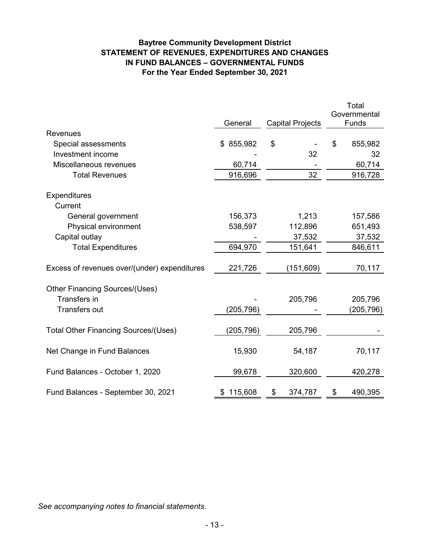# **Baytree Community Development District STATEMENT OF REVENUES, EXPENDITURES AND CHANGES IN FUND BALANCES – GOVERNMENTAL FUNDS For the Year Ended September 30, 2021**

|                                              | General       | <b>Capital Projects</b> |       | Total<br>Governmental<br>Funds |
|----------------------------------------------|---------------|-------------------------|-------|--------------------------------|
| <b>Revenues</b>                              |               |                         |       |                                |
| Special assessments                          | \$855,982     | \$                      |       | \$<br>855,982                  |
| Investment income                            |               |                         | 32    | 32                             |
| Miscellaneous revenues                       | 60,714        |                         |       | 60,714                         |
| <b>Total Revenues</b>                        | 916,696       |                         | 32    | 916,728                        |
| Expenditures                                 |               |                         |       |                                |
| Current                                      |               |                         |       |                                |
| General government                           | 156,373       |                         | 1,213 | 157,586                        |
| Physical environment                         | 538,597       | 112,896                 |       | 651,493                        |
| Capital outlay                               |               | 37,532                  |       | 37,532                         |
| <b>Total Expenditures</b>                    | 694,970       | 151,641                 |       | 846,611                        |
| Excess of revenues over/(under) expenditures | 221,726       | (151, 609)              |       | 70,117                         |
| <b>Other Financing Sources/(Uses)</b>        |               |                         |       |                                |
| <b>Transfers in</b>                          |               | 205,796                 |       | 205,796                        |
| <b>Transfers out</b>                         | (205,796)     |                         |       | (205,796)                      |
| <b>Total Other Financing Sources/(Uses)</b>  | (205,796)     | 205,796                 |       |                                |
| Net Change in Fund Balances                  | 15,930        | 54,187                  |       | 70,117                         |
| Fund Balances - October 1, 2020              | 99,678        | 320,600                 |       | 420,278                        |
| Fund Balances - September 30, 2021           | 115,608<br>\$ | \$<br>374,787           |       | \$<br>490,395                  |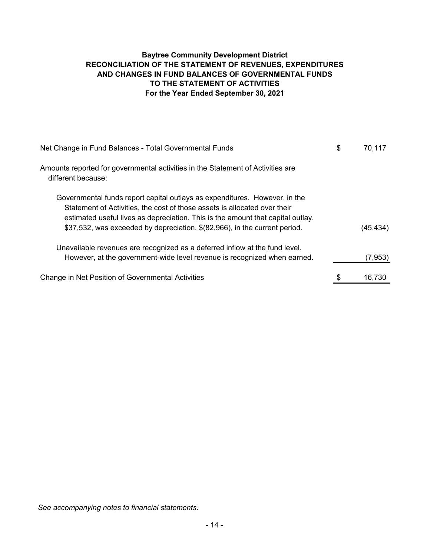# **Baytree Community Development District RECONCILIATION OF THE STATEMENT OF REVENUES, EXPENDITURES AND CHANGES IN FUND BALANCES OF GOVERNMENTAL FUNDS TO THE STATEMENT OF ACTIVITIES For the Year Ended September 30, 2021**

| Net Change in Fund Balances - Total Governmental Funds                                                                                                                                                                                                                                                                   | \$<br>70,117 |
|--------------------------------------------------------------------------------------------------------------------------------------------------------------------------------------------------------------------------------------------------------------------------------------------------------------------------|--------------|
| Amounts reported for governmental activities in the Statement of Activities are<br>different because:                                                                                                                                                                                                                    |              |
| Governmental funds report capital outlays as expenditures. However, in the<br>Statement of Activities, the cost of those assets is allocated over their<br>estimated useful lives as depreciation. This is the amount that capital outlay,<br>\$37,532, was exceeded by depreciation, \$(82,966), in the current period. | (45, 434)    |
| Unavailable revenues are recognized as a deferred inflow at the fund level.<br>However, at the government-wide level revenue is recognized when earned.                                                                                                                                                                  | (7,953)      |
| Change in Net Position of Governmental Activities                                                                                                                                                                                                                                                                        | 16,730       |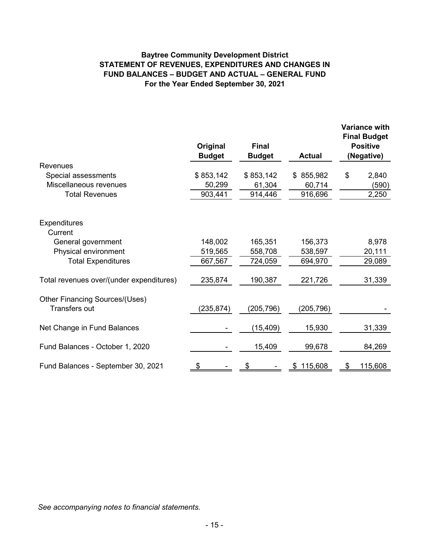# **Baytree Community Development District STATEMENT OF REVENUES, EXPENDITURES AND CHANGES IN FUND BALANCES – BUDGET AND ACTUAL – GENERAL FUND For the Year Ended September 30, 2021**

|                                          | Original<br><b>Budget</b> | <b>Final</b><br><b>Budget</b> | <b>Actual</b> | Variance with<br><b>Final Budget</b><br><b>Positive</b><br>(Negative) |
|------------------------------------------|---------------------------|-------------------------------|---------------|-----------------------------------------------------------------------|
| Revenues                                 |                           |                               |               |                                                                       |
| Special assessments                      | \$853,142                 | \$853,142                     | 855,982<br>\$ | \$<br>2,840                                                           |
| Miscellaneous revenues                   | 50,299                    | 61,304                        | 60,714        | (590)                                                                 |
| <b>Total Revenues</b>                    | 903,441                   | 914,446                       | 916,696       | 2,250                                                                 |
| <b>Expenditures</b>                      |                           |                               |               |                                                                       |
| Current                                  |                           |                               |               |                                                                       |
| General government                       | 148,002                   | 165,351                       | 156,373       | 8,978                                                                 |
| Physical environment                     | 519,565                   | 558,708                       | 538,597       | 20,111                                                                |
| <b>Total Expenditures</b>                | 667,567                   | 724,059                       | 694,970       | 29,089                                                                |
| Total revenues over/(under expenditures) | 235,874                   | 190,387                       | 221,726       | 31,339                                                                |
| Other Financing Sources/(Uses)           |                           |                               |               |                                                                       |
| <b>Transfers out</b>                     | (235, 874)                | (205, 796)                    | (205,796)     |                                                                       |
| Net Change in Fund Balances              |                           | (15, 409)                     | 15,930        | 31,339                                                                |
| Fund Balances - October 1, 2020          |                           | 15,409                        | 99,678        | 84,269                                                                |
| Fund Balances - September 30, 2021       | \$                        | \$                            | 115,608<br>\$ | 115,608<br>\$                                                         |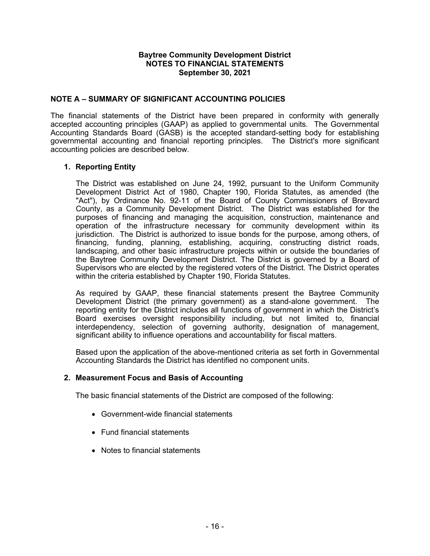## **NOTE A – SUMMARY OF SIGNIFICANT ACCOUNTING POLICIES**

The financial statements of the District have been prepared in conformity with generally accepted accounting principles (GAAP) as applied to governmental units. The Governmental Accounting Standards Board (GASB) is the accepted standard-setting body for establishing governmental accounting and financial reporting principles. The District's more significant accounting policies are described below.

## **1. Reporting Entity**

The District was established on June 24, 1992, pursuant to the Uniform Community Development District Act of 1980, Chapter 190, Florida Statutes, as amended (the "Act"), by Ordinance No. 92-11 of the Board of County Commissioners of Brevard County, as a Community Development District. The District was established for the purposes of financing and managing the acquisition, construction, maintenance and operation of the infrastructure necessary for community development within its jurisdiction. The District is authorized to issue bonds for the purpose, among others, of financing, funding, planning, establishing, acquiring, constructing district roads, landscaping, and other basic infrastructure projects within or outside the boundaries of the Baytree Community Development District. The District is governed by a Board of Supervisors who are elected by the registered voters of the District. The District operates within the criteria established by Chapter 190, Florida Statutes.

As required by GAAP, these financial statements present the Baytree Community Development District (the primary government) as a stand-alone government. The reporting entity for the District includes all functions of government in which the District's Board exercises oversight responsibility including, but not limited to, financial interdependency, selection of governing authority, designation of management, significant ability to influence operations and accountability for fiscal matters.

Based upon the application of the above-mentioned criteria as set forth in Governmental Accounting Standards the District has identified no component units.

## **2. Measurement Focus and Basis of Accounting**

The basic financial statements of the District are composed of the following:

- Government-wide financial statements
- Fund financial statements
- Notes to financial statements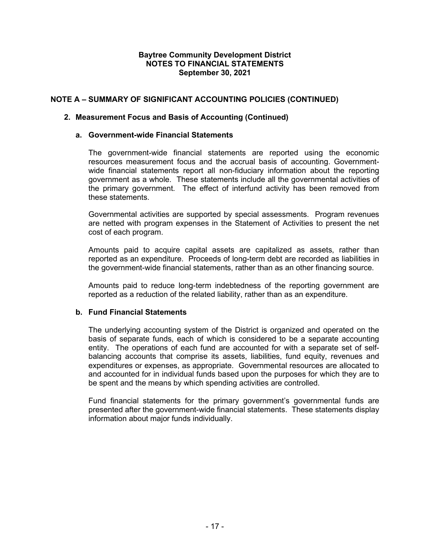# **NOTE A – SUMMARY OF SIGNIFICANT ACCOUNTING POLICIES (CONTINUED)**

### **2. Measurement Focus and Basis of Accounting (Continued)**

#### **a. Government-wide Financial Statements**

The government-wide financial statements are reported using the economic resources measurement focus and the accrual basis of accounting. Governmentwide financial statements report all non-fiduciary information about the reporting government as a whole. These statements include all the governmental activities of the primary government. The effect of interfund activity has been removed from these statements.

Governmental activities are supported by special assessments. Program revenues are netted with program expenses in the Statement of Activities to present the net cost of each program.

Amounts paid to acquire capital assets are capitalized as assets, rather than reported as an expenditure. Proceeds of long-term debt are recorded as liabilities in the government-wide financial statements, rather than as an other financing source.

Amounts paid to reduce long-term indebtedness of the reporting government are reported as a reduction of the related liability, rather than as an expenditure.

## **b. Fund Financial Statements**

The underlying accounting system of the District is organized and operated on the basis of separate funds, each of which is considered to be a separate accounting entity. The operations of each fund are accounted for with a separate set of selfbalancing accounts that comprise its assets, liabilities, fund equity, revenues and expenditures or expenses, as appropriate. Governmental resources are allocated to and accounted for in individual funds based upon the purposes for which they are to be spent and the means by which spending activities are controlled.

Fund financial statements for the primary government's governmental funds are presented after the government-wide financial statements. These statements display information about major funds individually.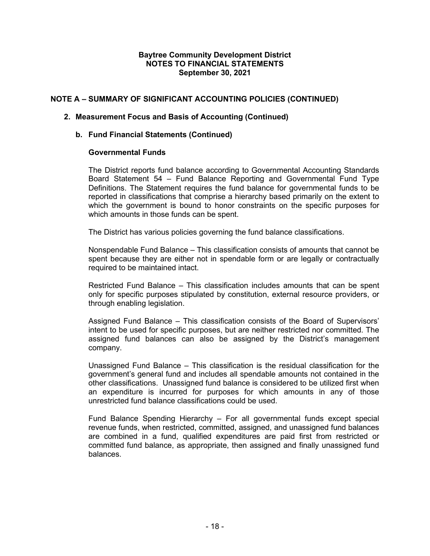# **NOTE A – SUMMARY OF SIGNIFICANT ACCOUNTING POLICIES (CONTINUED)**

### **2. Measurement Focus and Basis of Accounting (Continued)**

### **b. Fund Financial Statements (Continued)**

### **Governmental Funds**

The District reports fund balance according to Governmental Accounting Standards Board Statement 54 – Fund Balance Reporting and Governmental Fund Type Definitions. The Statement requires the fund balance for governmental funds to be reported in classifications that comprise a hierarchy based primarily on the extent to which the government is bound to honor constraints on the specific purposes for which amounts in those funds can be spent.

The District has various policies governing the fund balance classifications.

Nonspendable Fund Balance – This classification consists of amounts that cannot be spent because they are either not in spendable form or are legally or contractually required to be maintained intact.

Restricted Fund Balance *–* This classification includes amounts that can be spent only for specific purposes stipulated by constitution, external resource providers, or through enabling legislation.

Assigned Fund Balance – This classification consists of the Board of Supervisors' intent to be used for specific purposes, but are neither restricted nor committed. The assigned fund balances can also be assigned by the District's management company.

Unassigned Fund Balance – This classification is the residual classification for the government's general fund and includes all spendable amounts not contained in the other classifications. Unassigned fund balance is considered to be utilized first when an expenditure is incurred for purposes for which amounts in any of those unrestricted fund balance classifications could be used.

Fund Balance Spending Hierarchy – For all governmental funds except special revenue funds, when restricted, committed, assigned, and unassigned fund balances are combined in a fund, qualified expenditures are paid first from restricted or committed fund balance, as appropriate, then assigned and finally unassigned fund balances.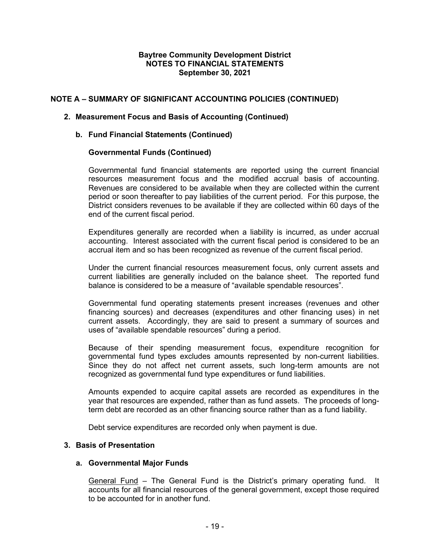# **NOTE A – SUMMARY OF SIGNIFICANT ACCOUNTING POLICIES (CONTINUED)**

### **2. Measurement Focus and Basis of Accounting (Continued)**

#### **b. Fund Financial Statements (Continued)**

### **Governmental Funds (Continued)**

Governmental fund financial statements are reported using the current financial resources measurement focus and the modified accrual basis of accounting. Revenues are considered to be available when they are collected within the current period or soon thereafter to pay liabilities of the current period. For this purpose, the District considers revenues to be available if they are collected within 60 days of the end of the current fiscal period.

Expenditures generally are recorded when a liability is incurred, as under accrual accounting. Interest associated with the current fiscal period is considered to be an accrual item and so has been recognized as revenue of the current fiscal period.

Under the current financial resources measurement focus, only current assets and current liabilities are generally included on the balance sheet. The reported fund balance is considered to be a measure of "available spendable resources".

Governmental fund operating statements present increases (revenues and other financing sources) and decreases (expenditures and other financing uses) in net current assets. Accordingly, they are said to present a summary of sources and uses of "available spendable resources" during a period.

Because of their spending measurement focus, expenditure recognition for governmental fund types excludes amounts represented by non-current liabilities. Since they do not affect net current assets, such long-term amounts are not recognized as governmental fund type expenditures or fund liabilities.

Amounts expended to acquire capital assets are recorded as expenditures in the year that resources are expended, rather than as fund assets. The proceeds of longterm debt are recorded as an other financing source rather than as a fund liability.

Debt service expenditures are recorded only when payment is due.

## **3. Basis of Presentation**

#### **a. Governmental Major Funds**

General Fund – The General Fund is the District's primary operating fund. It accounts for all financial resources of the general government, except those required to be accounted for in another fund.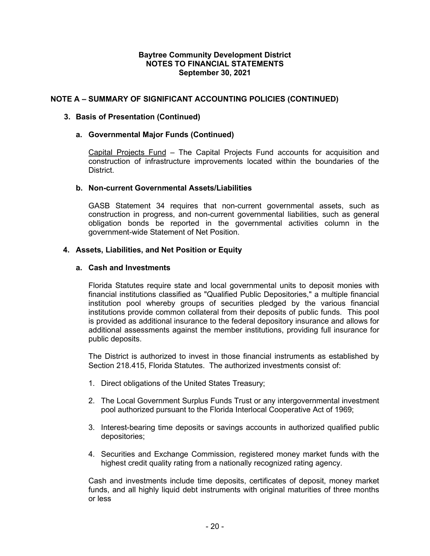## **NOTE A – SUMMARY OF SIGNIFICANT ACCOUNTING POLICIES (CONTINUED)**

### **3. Basis of Presentation (Continued)**

### **a. Governmental Major Funds (Continued)**

Capital Projects Fund – The Capital Projects Fund accounts for acquisition and construction of infrastructure improvements located within the boundaries of the District.

#### **b. Non-current Governmental Assets/Liabilities**

GASB Statement 34 requires that non-current governmental assets, such as construction in progress, and non-current governmental liabilities, such as general obligation bonds be reported in the governmental activities column in the government-wide Statement of Net Position.

### **4. Assets, Liabilities, and Net Position or Equity**

### **a. Cash and Investments**

Florida Statutes require state and local governmental units to deposit monies with financial institutions classified as "Qualified Public Depositories," a multiple financial institution pool whereby groups of securities pledged by the various financial institutions provide common collateral from their deposits of public funds. This pool is provided as additional insurance to the federal depository insurance and allows for additional assessments against the member institutions, providing full insurance for public deposits.

The District is authorized to invest in those financial instruments as established by Section 218.415, Florida Statutes. The authorized investments consist of:

- 1. Direct obligations of the United States Treasury;
- 2. The Local Government Surplus Funds Trust or any intergovernmental investment pool authorized pursuant to the Florida Interlocal Cooperative Act of 1969;
- 3. Interest-bearing time deposits or savings accounts in authorized qualified public depositories;
- 4. Securities and Exchange Commission, registered money market funds with the highest credit quality rating from a nationally recognized rating agency.

Cash and investments include time deposits, certificates of deposit, money market funds, and all highly liquid debt instruments with original maturities of three months or less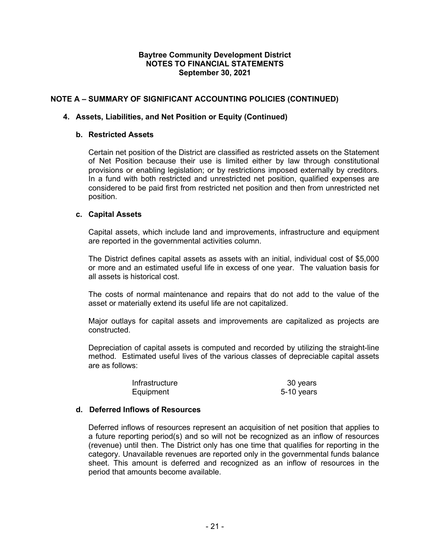## **NOTE A – SUMMARY OF SIGNIFICANT ACCOUNTING POLICIES (CONTINUED)**

#### **4. Assets, Liabilities, and Net Position or Equity (Continued)**

#### **b. Restricted Assets**

Certain net position of the District are classified as restricted assets on the Statement of Net Position because their use is limited either by law through constitutional provisions or enabling legislation; or by restrictions imposed externally by creditors. In a fund with both restricted and unrestricted net position, qualified expenses are considered to be paid first from restricted net position and then from unrestricted net position.

### **c. Capital Assets**

Capital assets, which include land and improvements, infrastructure and equipment are reported in the governmental activities column.

The District defines capital assets as assets with an initial, individual cost of \$5,000 or more and an estimated useful life in excess of one year. The valuation basis for all assets is historical cost.

The costs of normal maintenance and repairs that do not add to the value of the asset or materially extend its useful life are not capitalized.

Major outlays for capital assets and improvements are capitalized as projects are constructed.

Depreciation of capital assets is computed and recorded by utilizing the straight-line method. Estimated useful lives of the various classes of depreciable capital assets are as follows:

| Infrastructure | 30 years   |
|----------------|------------|
| Equipment      | 5-10 years |

## **d. Deferred Inflows of Resources**

Deferred inflows of resources represent an acquisition of net position that applies to a future reporting period(s) and so will not be recognized as an inflow of resources (revenue) until then. The District only has one time that qualifies for reporting in the category. Unavailable revenues are reported only in the governmental funds balance sheet. This amount is deferred and recognized as an inflow of resources in the period that amounts become available.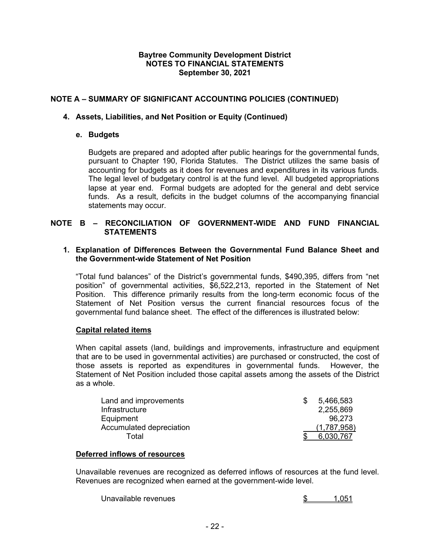# **NOTE A – SUMMARY OF SIGNIFICANT ACCOUNTING POLICIES (CONTINUED)**

#### **4. Assets, Liabilities, and Net Position or Equity (Continued)**

#### **e. Budgets**

Budgets are prepared and adopted after public hearings for the governmental funds, pursuant to Chapter 190, Florida Statutes. The District utilizes the same basis of accounting for budgets as it does for revenues and expenditures in its various funds. The legal level of budgetary control is at the fund level. All budgeted appropriations lapse at year end. Formal budgets are adopted for the general and debt service funds. As a result, deficits in the budget columns of the accompanying financial statements may occur.

## **NOTE B – RECONCILIATION OF GOVERNMENT-WIDE AND FUND FINANCIAL STATEMENTS**

#### **1. Explanation of Differences Between the Governmental Fund Balance Sheet and the Government-wide Statement of Net Position**

"Total fund balances" of the District's governmental funds, \$490,395, differs from "net position" of governmental activities, \$6,522,213, reported in the Statement of Net Position. This difference primarily results from the long-term economic focus of the Statement of Net Position versus the current financial resources focus of the governmental fund balance sheet. The effect of the differences is illustrated below:

#### **Capital related items**

When capital assets (land, buildings and improvements, infrastructure and equipment that are to be used in governmental activities) are purchased or constructed, the cost of those assets is reported as expenditures in governmental funds. However, the Statement of Net Position included those capital assets among the assets of the District as a whole.

| Land and improvements    | 5,466,583   |
|--------------------------|-------------|
| Infrastructure           | 2,255,869   |
| Equipment                | 96.273      |
| Accumulated depreciation | (1,787,958) |
| Total                    | 6.030.767   |

#### **Deferred inflows of resources**

Unavailable revenues are recognized as deferred inflows of resources at the fund level. Revenues are recognized when earned at the government-wide level.

| Unavailable revenues |  | 051 |
|----------------------|--|-----|
|----------------------|--|-----|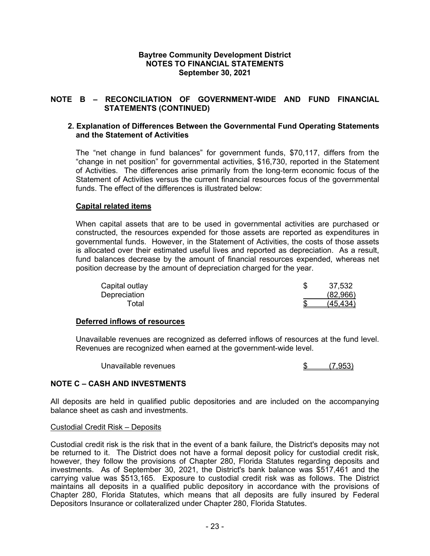## **NOTE B – RECONCILIATION OF GOVERNMENT-WIDE AND FUND FINANCIAL STATEMENTS (CONTINUED)**

### **2. Explanation of Differences Between the Governmental Fund Operating Statements and the Statement of Activities**

The "net change in fund balances" for government funds, \$70,117, differs from the "change in net position" for governmental activities, \$16,730, reported in the Statement of Activities. The differences arise primarily from the long-term economic focus of the Statement of Activities versus the current financial resources focus of the governmental funds. The effect of the differences is illustrated below:

### **Capital related items**

When capital assets that are to be used in governmental activities are purchased or constructed, the resources expended for those assets are reported as expenditures in governmental funds. However, in the Statement of Activities, the costs of those assets is allocated over their estimated useful lives and reported as depreciation. As a result, fund balances decrease by the amount of financial resources expended, whereas net position decrease by the amount of depreciation charged for the year.

| Capital outlay | 37,532    |
|----------------|-----------|
| Depreciation   | (82,966)  |
| Total          | (45, 434) |

#### **Deferred inflows of resources**

Unavailable revenues are recognized as deferred inflows of resources at the fund level. Revenues are recognized when earned at the government-wide level.

Unavailable revenues **\$** (7,953)

## **NOTE C – CASH AND INVESTMENTS**

All deposits are held in qualified public depositories and are included on the accompanying balance sheet as cash and investments.

#### Custodial Credit Risk – Deposits

Custodial credit risk is the risk that in the event of a bank failure, the District's deposits may not be returned to it. The District does not have a formal deposit policy for custodial credit risk, however, they follow the provisions of Chapter 280, Florida Statutes regarding deposits and investments. As of September 30, 2021, the District's bank balance was \$517,461 and the carrying value was \$513,165. Exposure to custodial credit risk was as follows. The District maintains all deposits in a qualified public depository in accordance with the provisions of Chapter 280, Florida Statutes, which means that all deposits are fully insured by Federal Depositors Insurance or collateralized under Chapter 280, Florida Statutes.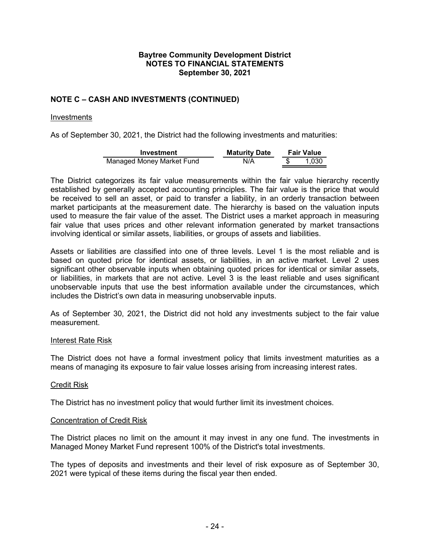## **NOTE C – CASH AND INVESTMENTS (CONTINUED)**

#### Investments

As of September 30, 2021, the District had the following investments and maturities:

| <b>Investment</b>         | <b>Maturity Date</b> | <b>Fair Value</b> |
|---------------------------|----------------------|-------------------|
| Managed Money Market Fund | N/A                  | 1.030             |

The District categorizes its fair value measurements within the fair value hierarchy recently established by generally accepted accounting principles. The fair value is the price that would be received to sell an asset, or paid to transfer a liability, in an orderly transaction between market participants at the measurement date. The hierarchy is based on the valuation inputs used to measure the fair value of the asset. The District uses a market approach in measuring fair value that uses prices and other relevant information generated by market transactions involving identical or similar assets, liabilities, or groups of assets and liabilities.

Assets or liabilities are classified into one of three levels. Level 1 is the most reliable and is based on quoted price for identical assets, or liabilities, in an active market. Level 2 uses significant other observable inputs when obtaining quoted prices for identical or similar assets, or liabilities, in markets that are not active. Level 3 is the least reliable and uses significant unobservable inputs that use the best information available under the circumstances, which includes the District's own data in measuring unobservable inputs.

As of September 30, 2021, the District did not hold any investments subject to the fair value measurement.

#### Interest Rate Risk

The District does not have a formal investment policy that limits investment maturities as a means of managing its exposure to fair value losses arising from increasing interest rates.

#### Credit Risk

The District has no investment policy that would further limit its investment choices.

#### Concentration of Credit Risk

The District places no limit on the amount it may invest in any one fund. The investments in Managed Money Market Fund represent 100% of the District's total investments.

The types of deposits and investments and their level of risk exposure as of September 30, 2021 were typical of these items during the fiscal year then ended.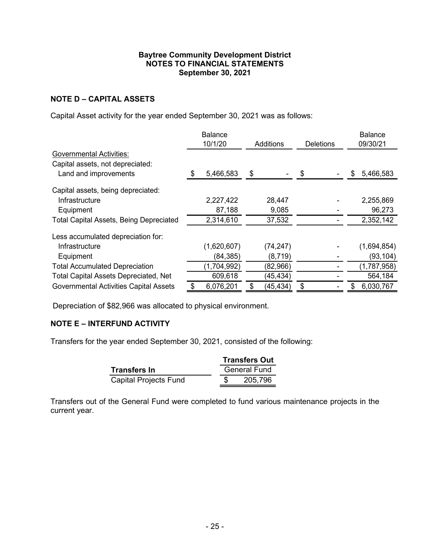# **NOTE D – CAPITAL ASSETS**

Capital Asset activity for the year ended September 30, 2021 was as follows:

|                                                | <b>Balance</b><br>10/1/20 |             | Additions |           | <b>Deletions</b> |  | <b>Balance</b><br>09/30/21 |             |
|------------------------------------------------|---------------------------|-------------|-----------|-----------|------------------|--|----------------------------|-------------|
| <b>Governmental Activities:</b>                |                           |             |           |           |                  |  |                            |             |
| Capital assets, not depreciated:               |                           |             |           |           |                  |  |                            |             |
| Land and improvements                          | \$                        | 5,466,583   | \$        |           | \$               |  | S                          | 5,466,583   |
| Capital assets, being depreciated:             |                           |             |           |           |                  |  |                            |             |
| Infrastructure                                 |                           | 2,227,422   |           | 28,447    |                  |  |                            | 2,255,869   |
| Equipment                                      |                           | 87,188      |           | 9,085     |                  |  |                            | 96,273      |
| <b>Total Capital Assets, Being Depreciated</b> |                           | 2,314,610   |           | 37,532    |                  |  |                            | 2,352,142   |
| Less accumulated depreciation for:             |                           |             |           |           |                  |  |                            |             |
| Infrastructure                                 |                           | (1,620,607) |           | (74, 247) |                  |  |                            | (1,694,854) |
| Equipment                                      |                           | (84, 385)   |           | (8, 719)  |                  |  |                            | (93, 104)   |
| <b>Total Accumulated Depreciation</b>          |                           | (1,704,992) |           | (82,966)  |                  |  |                            | (1,787,958) |
| <b>Total Capital Assets Depreciated, Net</b>   |                           | 609,618     |           | (45,434)  |                  |  |                            | 564,184     |
| <b>Governmental Activities Capital Assets</b>  | \$                        | 6,076,201   |           | (45, 434) | \$               |  | \$                         | 6,030,767   |

Depreciation of \$82,966 was allocated to physical environment.

# **NOTE E – INTERFUND ACTIVITY**

Transfers for the year ended September 30, 2021, consisted of the following:

|                              |                     | <b>Transfers Out</b> |  |  |  |
|------------------------------|---------------------|----------------------|--|--|--|
| <b>Transfers In</b>          | <b>General Fund</b> |                      |  |  |  |
| <b>Capital Projects Fund</b> |                     | 205,796              |  |  |  |

Transfers out of the General Fund were completed to fund various maintenance projects in the current year.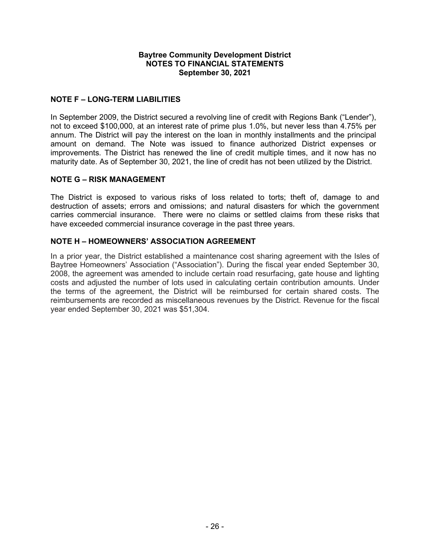## **NOTE F – LONG-TERM LIABILITIES**

In September 2009, the District secured a revolving line of credit with Regions Bank ("Lender"), not to exceed \$100,000, at an interest rate of prime plus 1.0%, but never less than 4.75% per annum. The District will pay the interest on the loan in monthly installments and the principal amount on demand. The Note was issued to finance authorized District expenses or improvements. The District has renewed the line of credit multiple times, and it now has no maturity date. As of September 30, 2021, the line of credit has not been utilized by the District.

## **NOTE G – RISK MANAGEMENT**

The District is exposed to various risks of loss related to torts; theft of, damage to and destruction of assets; errors and omissions; and natural disasters for which the government carries commercial insurance. There were no claims or settled claims from these risks that have exceeded commercial insurance coverage in the past three years.

## **NOTE H – HOMEOWNERS' ASSOCIATION AGREEMENT**

In a prior year, the District established a maintenance cost sharing agreement with the Isles of Baytree Homeowners' Association ("Association"). During the fiscal year ended September 30, 2008, the agreement was amended to include certain road resurfacing, gate house and lighting costs and adjusted the number of lots used in calculating certain contribution amounts. Under the terms of the agreement, the District will be reimbursed for certain shared costs. The reimbursements are recorded as miscellaneous revenues by the District. Revenue for the fiscal year ended September 30, 2021 was \$51,304.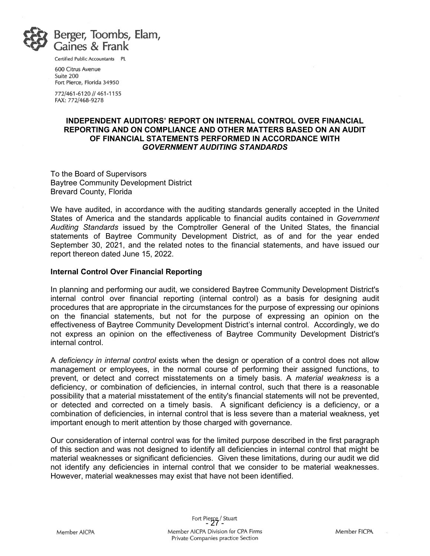

Certified Public Accountants PL

600 Citrus Avenue Suite 200 Fort Pierce, Florida 34950

772/461-6120 // 461-1155 FAX: 772/468-9278

#### **INDEPENDENT AUDITORS' REPORT ON INTERNAL CONTROL OVER FINANCIAL REPORTING AND ON COMPLIANCE AND OTHER MATTERS BASED ON AN AUDIT OF FINANCIAL STATEMENTS PERFORMED IN ACCORDANCE WITH** *GOVERNMENT AUDITING STANDARDS*

To the Board of Supervisors Baytree Community Development District Brevard County, Florida

We have audited, in accordance with the auditing standards generally accepted in the United States of America and the standards applicable to financial audits contained in *Government Auditing Standards* issued by the Comptroller General of the United States, the financial statements of Baytree Community Development District, as of and for the year ended September 30, 2021, and the related notes to the financial statements, and have issued our report thereon dated June 15, 2022.

#### **Internal Control Over Financial Reporting**

In planning and performing our audit, we considered Baytree Community Development District's internal control over financial reporting (internal control) as a basis for designing audit procedures that are appropriate in the circumstances for the purpose of expressing our opinions on the financial statements, but not for the purpose of expressing an opinion on the effectiveness of Baytree Community Development District's internal control. Accordingly, we do not express an opinion on the effectiveness of Baytree Community Development District's internal control.

A *deficiency in internal control* exists when the design or operation of a control does not allow management or employees, in the normal course of performing their assigned functions, to prevent, or detect and correct misstatements on a timely basis. A *material weakness* is a deficiency, or combination of deficiencies, in internal control, such that there is a reasonable possibility that a material misstatement of the entity's financial statements will not be prevented, or detected and corrected on a timely basis. A significant deficiency is a deficiency, or a combination of deficiencies, in internal control that is less severe than a material weakness, yet important enough to merit attention by those charged with governance.

Our consideration of internal control was for the limited purpose described in the first paragraph of this section and was not designed to identify all deficiencies in internal control that might be material weaknesses or significant deficiencies. Given these limitations, during our audit we did not identify any deficiencies in internal control that we consider to be material weaknesses. However, material weaknesses may exist that have not been identified.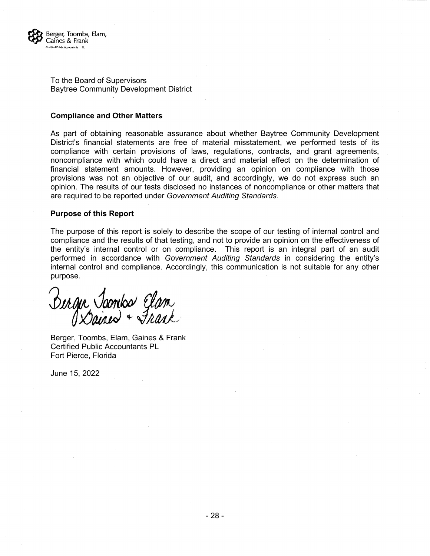

#### **Compliance and Other Matters**

As part of obtaining reasonable assurance about whether Baytree Community Development District's financial statements are free of material misstatement, we performed tests of its compliance with certain provisions of laws, regulations, contracts, and grant agreements, noncompliance with which could have a direct and material effect on the determination of financial statement amounts. However, providing an opinion on compliance with those provisions was not an objective of our audit, and accordingly, we do not express such an opinion. The results of our tests disclosed no instances of noncompliance or other matters that are required to be reported under *Government Auditing Standards*.

#### **Purpose of this Report**

The purpose of this report is solely to describe the scope of our testing of internal control and compliance and the results of that testing, and not to provide an opinion on the effectiveness of the entity's internal control or on compliance. This report is an integral part of an audit performed in accordance with *Government Auditing Standards* in considering the entity's internal control and compliance. Accordingly, this communication is not suitable for any other purpose.

Birgir Jambo Clam

Berger, Toombs, Elam, Gaines & Frank Certified Public Accountants PL Fort Pierce, Florida

June 15, 2022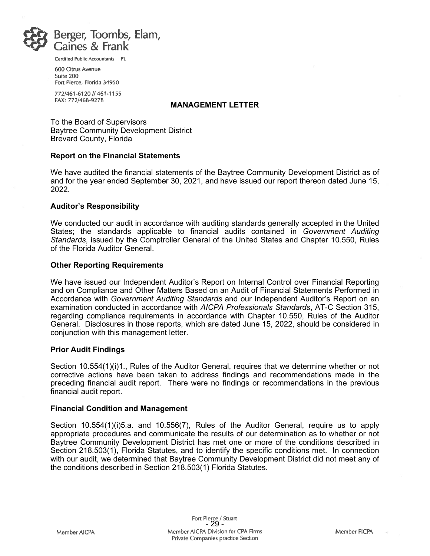

Certified Public Accountants PL

600 Citrus Avenue Suite 200 Fort Pierce, Florida 34950

772/461-6120 // 461-1155 FAX: 772/468-9278

#### **MANAGEMENT LETTER**

To the Board of Supervisors Baytree Community Development District Brevard County, Florida

#### **Report on the Financial Statements**

We have audited the financial statements of the Baytree Community Development District as of and for the year ended September 30, 2021, and have issued our report thereon dated June 15, 2022.

#### **Auditor's Responsibility**

We conducted our audit in accordance with auditing standards generally accepted in the United States; the standards applicable to financial audits contained in *Government Auditing Standards*, issued by the Comptroller General of the United States and Chapter 10.550, Rules of the Florida Auditor General.

#### **Other Reporting Requirements**

We have issued our Independent Auditor's Report on Internal Control over Financial Reporting and on Compliance and Other Matters Based on an Audit of Financial Statements Performed in Accordance with *Government Auditing Standards* and our Independent Auditor's Report on an examination conducted in accordance with *AICPA Professionals Standards*, AT-C Section 315, regarding compliance requirements in accordance with Chapter 10.550, Rules of the Auditor General. Disclosures in those reports, which are dated June 15, 2022, should be considered in conjunction with this management letter.

#### **Prior Audit Findings**

Section 10.554(1)(i)1., Rules of the Auditor General, requires that we determine whether or not corrective actions have been taken to address findings and recommendations made in the preceding financial audit report. There were no findings or recommendations in the previous financial audit report.

#### **Financial Condition and Management**

Section 10.554(1)(i)5.a. and 10.556(7), Rules of the Auditor General, require us to apply appropriate procedures and communicate the results of our determination as to whether or not Baytree Community Development District has met one or more of the conditions described in Section 218.503(1), Florida Statutes, and to identify the specific conditions met. In connection with our audit, we determined that Baytree Community Development District did not meet any of the conditions described in Section 218.503(1) Florida Statutes.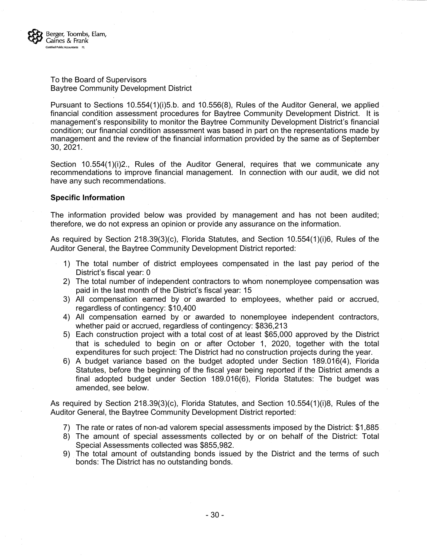

Pursuant to Sections 10.554(1)(i)5.b. and 10.556(8), Rules of the Auditor General, we applied financial condition assessment procedures for Baytree Community Development District. It is management's responsibility to monitor the Baytree Community Development District's financial condition; our financial condition assessment was based in part on the representations made by management and the review of the financial information provided by the same as of September 30, 2021.

Section 10.554(1)(i)2., Rules of the Auditor General, requires that we communicate any recommendations to improve financial management. In connection with our audit, we did not have any such recommendations.

#### **Specific Information**

The information provided below was provided by management and has not been audited; therefore, we do not express an opinion or provide any assurance on the information.

As required by Section 218.39(3)(c), Florida Statutes, and Section 10.554(1)(i)6, Rules of the Auditor General, the Baytree Community Development District reported:

- 1) The total number of district employees compensated in the last pay period of the District's fiscal year: 0
- 2) The total number of independent contractors to whom nonemployee compensation was paid in the last month of the District's fiscal year: 15
- 3) All compensation earned by or awarded to employees, whether paid or accrued, regardless of contingency: \$10,400
- 4) All compensation earned by or awarded to nonemployee independent contractors, whether paid or accrued, regardless of contingency: \$836,213
- 5) Each construction project with a total cost of at least \$65,000 approved by the District that is scheduled to begin on or after October 1, 2020, together with the total expenditures for such project: The District had no construction projects during the year.
- 6) A budget variance based on the budget adopted under Section 189.016(4), Florida Statutes, before the beginning of the fiscal year being reported if the District amends a final adopted budget under Section 189.016(6), Florida Statutes: The budget was amended, see below.

As required by Section 218.39(3)(c), Florida Statutes, and Section 10.554(1)(i)8, Rules of the Auditor General, the Baytree Community Development District reported:

- 7) The rate or rates of non-ad valorem special assessments imposed by the District: \$1,885
- 8) The amount of special assessments collected by or on behalf of the District: Total Special Assessments collected was \$855,982.
- 9) The total amount of outstanding bonds issued by the District and the terms of such bonds: The District has no outstanding bonds.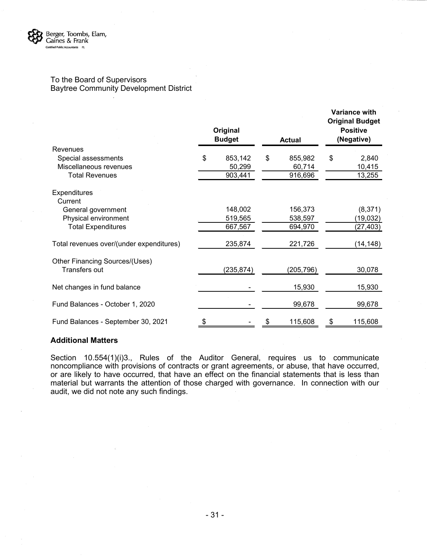

|                                          | Original<br><b>Budget</b> |           |    | <b>Actual</b> | <b>Variance with</b><br><b>Original Budget</b><br><b>Positive</b><br>(Negative) |           |  |  |
|------------------------------------------|---------------------------|-----------|----|---------------|---------------------------------------------------------------------------------|-----------|--|--|
| Revenues                                 |                           |           |    |               |                                                                                 |           |  |  |
| Special assessments                      | \$                        | 853,142   | \$ | 855,982       | \$                                                                              | 2,840     |  |  |
| Miscellaneous revenues                   |                           | 50,299    |    | 60,714        |                                                                                 | 10,415    |  |  |
| <b>Total Revenues</b>                    |                           | 903,441   |    | 916,696       |                                                                                 | 13,255    |  |  |
| <b>Expenditures</b><br>Current           |                           |           |    |               |                                                                                 |           |  |  |
| General government                       |                           | 148,002   |    | 156,373       |                                                                                 | (8, 371)  |  |  |
| Physical environment                     |                           | 519,565   |    | 538,597       |                                                                                 | (19, 032) |  |  |
| <b>Total Expenditures</b>                |                           | 667,567   |    | 694,970       |                                                                                 | (27,403)  |  |  |
| Total revenues over/(under expenditures) |                           | 235,874   |    | 221,726       |                                                                                 | (14, 148) |  |  |
| Other Financing Sources/(Uses)           |                           |           |    |               |                                                                                 |           |  |  |
| Transfers out                            |                           | (235,874) |    | (205,796)     |                                                                                 | 30,078    |  |  |
| Net changes in fund balance              |                           |           |    | 15,930        |                                                                                 | 15,930    |  |  |
| Fund Balances - October 1, 2020          |                           |           |    | 99,678        |                                                                                 | 99,678    |  |  |
| Fund Balances - September 30, 2021       |                           |           |    | 115,608       |                                                                                 | 115,608   |  |  |

#### **Additional Matters**

Section 10.554(1)(i)3., Rules of the Auditor General, requires us to communicate noncompliance with provisions of contracts or grant agreements, or abuse, that have occurred, or are likely to have occurred, that have an effect on the financial statements that is less than material but warrants the attention of those charged with governance. In connection with our audit, we did not note any such findings.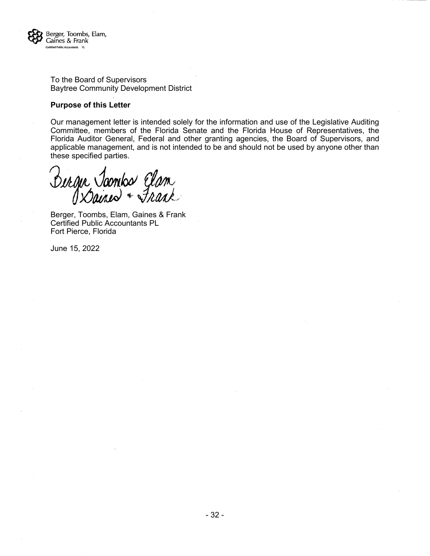

#### **Purpose of this Letter**

Our management letter is intended solely for the information and use of the Legislative Auditing Committee, members of the Florida Senate and the Florida House of Representatives, the Florida Auditor General, Federal and other granting agencies, the Board of Supervisors, and applicable management, and is not intended to be and should not be used by anyone other than these specified parties.

Bergir Joenks Clam

Berger, Toombs, Elam, Gaines & Frank Certified Public Accountants PL Fort Pierce, Florida

June 15, 2022